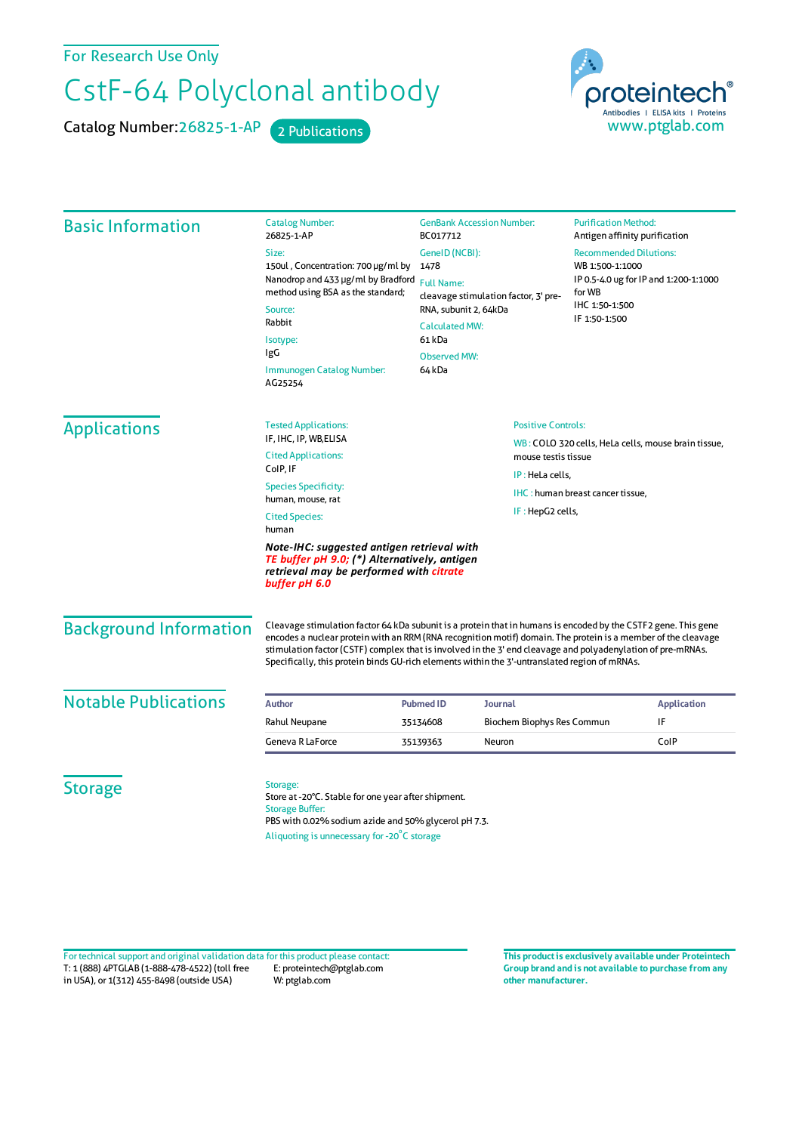For Research Use Only

## CstF-64 Polyclonal antibody

Catalog Number: 26825-1-AP 2 Publications



| <b>Basic Information</b>      | <b>Catalog Number:</b><br>26825-1-AP                                                                                                                                                                                                                                                                                                                                                                                                            | <b>GenBank Accession Number:</b><br>BC017712                                                                                                                                     |                                                                            | <b>Purification Method:</b><br>Antigen affinity purification                                                                           |                    |  |
|-------------------------------|-------------------------------------------------------------------------------------------------------------------------------------------------------------------------------------------------------------------------------------------------------------------------------------------------------------------------------------------------------------------------------------------------------------------------------------------------|----------------------------------------------------------------------------------------------------------------------------------------------------------------------------------|----------------------------------------------------------------------------|----------------------------------------------------------------------------------------------------------------------------------------|--------------------|--|
|                               | Size:<br>150ul, Concentration: 700 µg/ml by<br>Nanodrop and 433 µg/ml by Bradford<br>method using BSA as the standard;<br>Source:<br>Rabbit<br>Isotype:<br>IgG<br>Immunogen Catalog Number:<br>AG25254                                                                                                                                                                                                                                          | GenelD (NCBI):<br>1478<br><b>Full Name:</b><br>cleavage stimulation factor, 3' pre-<br>RNA, subunit 2, 64kDa<br><b>Calculated MW:</b><br>61 kDa<br><b>Observed MW:</b><br>64 kDa |                                                                            | <b>Recommended Dilutions:</b><br>WB 1:500-1:1000<br>IP 0.5-4.0 ug for IP and 1:200-1:1000<br>for WB<br>IHC 1:50-1:500<br>IF 1:50-1:500 |                    |  |
| <b>Applications</b>           | <b>Tested Applications:</b>                                                                                                                                                                                                                                                                                                                                                                                                                     |                                                                                                                                                                                  | <b>Positive Controls:</b>                                                  |                                                                                                                                        |                    |  |
|                               | IF, IHC, IP, WB, ELISA<br><b>Cited Applications:</b>                                                                                                                                                                                                                                                                                                                                                                                            |                                                                                                                                                                                  | WB: COLO 320 cells, HeLa cells, mouse brain tissue,<br>mouse testis tissue |                                                                                                                                        |                    |  |
|                               | CoIP, IF                                                                                                                                                                                                                                                                                                                                                                                                                                        |                                                                                                                                                                                  | IP: HeLa cells,<br>IHC: human breast cancer tissue,                        |                                                                                                                                        |                    |  |
|                               | <b>Species Specificity:</b>                                                                                                                                                                                                                                                                                                                                                                                                                     |                                                                                                                                                                                  |                                                                            |                                                                                                                                        |                    |  |
|                               | human, mouse, rat<br>IF: HepG2 cells,<br><b>Cited Species:</b><br>human                                                                                                                                                                                                                                                                                                                                                                         |                                                                                                                                                                                  |                                                                            |                                                                                                                                        |                    |  |
|                               | Note-IHC: suggested antigen retrieval with<br>TE buffer pH 9.0; (*) Alternatively, antigen<br>retrieval may be performed with citrate<br>buffer pH 6.0                                                                                                                                                                                                                                                                                          |                                                                                                                                                                                  |                                                                            |                                                                                                                                        |                    |  |
| <b>Background Information</b> | Cleavage stimulation factor 64 kDa subunit is a protein that in humans is encoded by the CSTF2 gene. This gene<br>encodes a nuclear protein with an RRM (RNA recognition motif) domain. The protein is a member of the cleavage<br>stimulation factor (CSTF) complex that is involved in the 3' end cleavage and polyadenylation of pre-mRNAs.<br>Specifically, this protein binds GU-rich elements within the 3'-untranslated region of mRNAs. |                                                                                                                                                                                  |                                                                            |                                                                                                                                        |                    |  |
| <b>Notable Publications</b>   | Author                                                                                                                                                                                                                                                                                                                                                                                                                                          | <b>Pubmed ID</b>                                                                                                                                                                 | Journal                                                                    |                                                                                                                                        | <b>Application</b> |  |
|                               | Rahul Neupane                                                                                                                                                                                                                                                                                                                                                                                                                                   | 35134608                                                                                                                                                                         | Biochem Biophys Res Commun                                                 |                                                                                                                                        | IF                 |  |
|                               | Geneva R LaForce                                                                                                                                                                                                                                                                                                                                                                                                                                | 35139363                                                                                                                                                                         | Neuron                                                                     |                                                                                                                                        | ColP               |  |
| <b>Storage</b>                | Storage:<br>Store at -20°C. Stable for one year after shipment.<br><b>Storage Buffer:</b><br>PBS with 0.02% sodium azide and 50% glycerol pH 7.3.<br>Aliquoting is unnecessary for -20°C storage                                                                                                                                                                                                                                                |                                                                                                                                                                                  |                                                                            |                                                                                                                                        |                    |  |

T: 1 (888) 4PTGLAB (1-888-478-4522) (toll free in USA), or 1(312) 455-8498 (outside USA) E: proteintech@ptglab.com W: ptglab.com Fortechnical support and original validation data forthis product please contact: **This productis exclusively available under Proteintech**

**Group brand and is not available to purchase from any other manufacturer.**